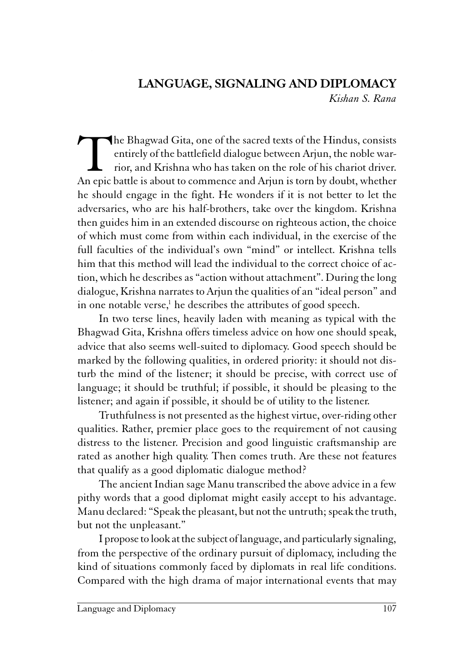# LANGUAGE, SIGNALING AND DIPLOMACY

Kishan S. Rana

The Bhagwad Gita, one of the sacred texts of the Hindus, consists<br>entirely of the battlefield dialogue between Arjun, the noble war-<br>rior, and Krishna who has taken on the role of his chariot driver.<br>An epic battle is abou entirely of the battlefield dialogue between Arjun, the noble warrior, and Krishna who has taken on the role of his chariot driver. An epic battle is about to commence and Arjun is torn by doubt, whether he should engage in the fight. He wonders if it is not better to let the adversaries, who are his half-brothers, take over the kingdom. Krishna then guides him in an extended discourse on righteous action, the choice of which must come from within each individual, in the exercise of the full faculties of the individual's own "mind" or intellect. Krishna tells him that this method will lead the individual to the correct choice of action, which he describes as "action without attachment". During the long dialogue, Krishna narrates to Arjun the qualities of an "ideal person" and in one notable verse,<sup>1</sup> he describes the attributes of good speech.

In two terse lines, heavily laden with meaning as typical with the Bhagwad Gita, Krishna offers timeless advice on how one should speak, advice that also seems well-suited to diplomacy. Good speech should be marked by the following qualities, in ordered priority: it should not disturb the mind of the listener; it should be precise, with correct use of language; it should be truthful; if possible, it should be pleasing to the listener; and again if possible, it should be of utility to the listener.

Truthfulness is not presented as the highest virtue, over-riding other qualities. Rather, premier place goes to the requirement of not causing distress to the listener. Precision and good linguistic craftsmanship are rated as another high quality. Then comes truth. Are these not features that qualify as a good diplomatic dialogue method?

The ancient Indian sage Manu transcribed the above advice in a few pithy words that a good diplomat might easily accept to his advantage. Manu declared: "Speak the pleasant, but not the untruth; speak the truth, but not the unpleasant."

I propose to look at the subject of language, and particularly signaling, from the perspective of the ordinary pursuit of diplomacy, including the kind of situations commonly faced by diplomats in real life conditions. Compared with the high drama of major international events that may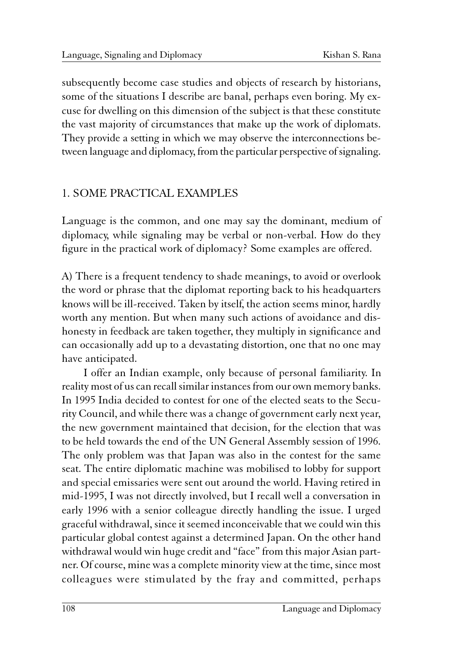subsequently become case studies and objects of research by historians, some of the situations I describe are banal, perhaps even boring. My excuse for dwelling on this dimension of the subject is that these constitute the vast majority of circumstances that make up the work of diplomats. They provide a setting in which we may observe the interconnections between language and diplomacy, from the particular perspective of signaling.

### 1. SOME PRACTICAL EXAMPLES

Language is the common, and one may say the dominant, medium of diplomacy, while signaling may be verbal or non-verbal. How do they figure in the practical work of diplomacy? Some examples are offered.

A) There is a frequent tendency to shade meanings, to avoid or overlook the word or phrase that the diplomat reporting back to his headquarters knows will be ill-received. Taken by itself, the action seems minor, hardly worth any mention. But when many such actions of avoidance and dishonesty in feedback are taken together, they multiply in significance and can occasionally add up to a devastating distortion, one that no one may have anticipated.

I offer an Indian example, only because of personal familiarity. In reality most of us can recall similar instances from our own memory banks. In 1995 India decided to contest for one of the elected seats to the Security Council, and while there was a change of government early next year, the new government maintained that decision, for the election that was to be held towards the end of the UN General Assembly session of 1996. The only problem was that Japan was also in the contest for the same seat. The entire diplomatic machine was mobilised to lobby for support and special emissaries were sent out around the world. Having retired in mid-1995, I was not directly involved, but I recall well a conversation in early 1996 with a senior colleague directly handling the issue. I urged graceful withdrawal, since it seemed inconceivable that we could win this particular global contest against a determined Japan. On the other hand withdrawal would win huge credit and "face" from this major Asian partner. Of course, mine was a complete minority view at the time, since most colleagues were stimulated by the fray and committed, perhaps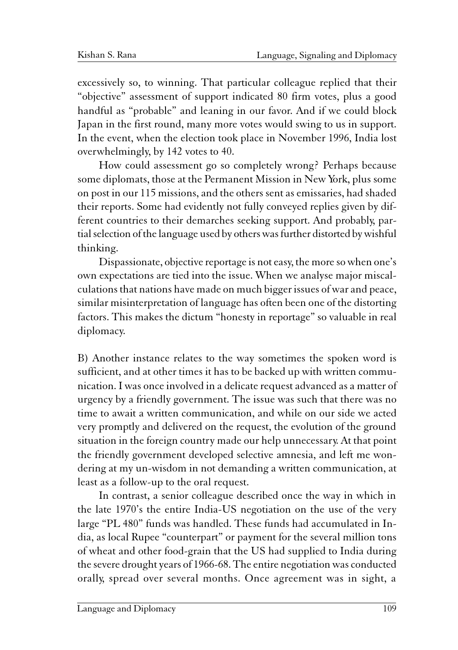excessively so, to winning. That particular colleague replied that their "objective" assessment of support indicated 80 firm votes, plus a good handful as "probable" and leaning in our favor. And if we could block Japan in the first round, many more votes would swing to us in support. In the event, when the election took place in November 1996, India lost overwhelmingly, by 142 votes to 40.

How could assessment go so completely wrong? Perhaps because some diplomats, those at the Permanent Mission in New York, plus some on post in our 115 missions, and the others sent as emissaries, had shaded their reports. Some had evidently not fully conveyed replies given by different countries to their demarches seeking support. And probably, partial selection of the language used by others was further distorted by wishful thinking.

Dispassionate, objective reportage is not easy, the more so when one's own expectations are tied into the issue. When we analyse major miscalculations that nations have made on much bigger issues of war and peace, similar misinterpretation of language has often been one of the distorting factors. This makes the dictum "honesty in reportage" so valuable in real diplomacy.

B) Another instance relates to the way sometimes the spoken word is sufficient, and at other times it has to be backed up with written communication. I was once involved in a delicate request advanced as a matter of urgency by a friendly government. The issue was such that there was no time to await a written communication, and while on our side we acted very promptly and delivered on the request, the evolution of the ground situation in the foreign country made our help unnecessary. At that point the friendly government developed selective amnesia, and left me wondering at my un-wisdom in not demanding a written communication, at least as a follow-up to the oral request.

In contrast, a senior colleague described once the way in which in the late 1970's the entire India-US negotiation on the use of the very large "PL 480" funds was handled. These funds had accumulated in India, as local Rupee "counterpart" or payment for the several million tons of wheat and other food-grain that the US had supplied to India during the severe drought years of 1966-68. The entire negotiation was conducted orally, spread over several months. Once agreement was in sight, a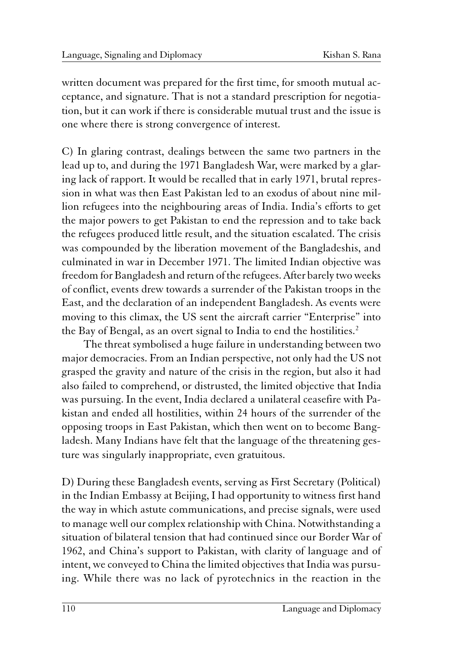written document was prepared for the first time, for smooth mutual acceptance, and signature. That is not a standard prescription for negotiation, but it can work if there is considerable mutual trust and the issue is one where there is strong convergence of interest.

C) In glaring contrast, dealings between the same two partners in the lead up to, and during the 1971 Bangladesh War, were marked by a glaring lack of rapport. It would be recalled that in early 1971, brutal repression in what was then East Pakistan led to an exodus of about nine million refugees into the neighbouring areas of India. India's efforts to get the major powers to get Pakistan to end the repression and to take back the refugees produced little result, and the situation escalated. The crisis was compounded by the liberation movement of the Bangladeshis, and culminated in war in December 1971. The limited Indian objective was freedom for Bangladesh and return of the refugees. After barely two weeks of conflict, events drew towards a surrender of the Pakistan troops in the East, and the declaration of an independent Bangladesh. As events were moving to this climax, the US sent the aircraft carrier "Enterprise" into the Bay of Bengal, as an overt signal to India to end the hostilities.<sup>2</sup>

The threat symbolised a huge failure in understanding between two major democracies. From an Indian perspective, not only had the US not grasped the gravity and nature of the crisis in the region, but also it had also failed to comprehend, or distrusted, the limited objective that India was pursuing. In the event, India declared a unilateral ceasefire with Pakistan and ended all hostilities, within 24 hours of the surrender of the opposing troops in East Pakistan, which then went on to become Bangladesh. Many Indians have felt that the language of the threatening gesture was singularly inappropriate, even gratuitous.

D) During these Bangladesh events, serving as First Secretary (Political) in the Indian Embassy at Beijing, I had opportunity to witness first hand the way in which astute communications, and precise signals, were used to manage well our complex relationship with China. Notwithstanding a situation of bilateral tension that had continued since our Border War of 1962, and China's support to Pakistan, with clarity of language and of intent, we conveyed to China the limited objectives that India was pursuing. While there was no lack of pyrotechnics in the reaction in the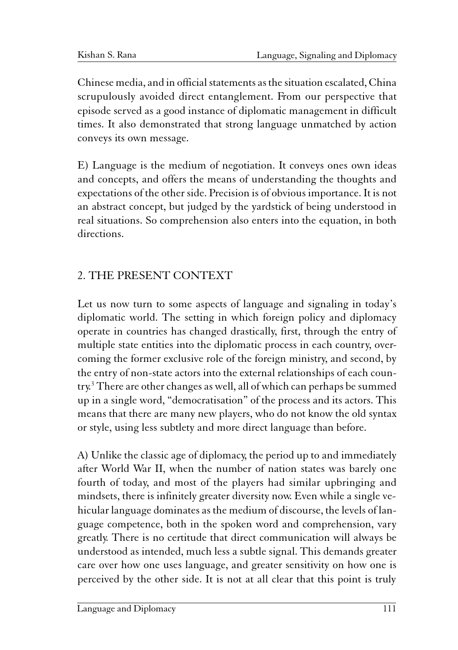Chinese media, and in official statements as the situation escalated, China scrupulously avoided direct entanglement. From our perspective that episode served as a good instance of diplomatic management in difficult times. It also demonstrated that strong language unmatched by action conveys its own message.

E) Language is the medium of negotiation. It conveys ones own ideas and concepts, and offers the means of understanding the thoughts and expectations of the other side. Precision is of obvious importance. It is not an abstract concept, but judged by the yardstick of being understood in real situations. So comprehension also enters into the equation, in both directions.

## 2. THE PRESENT CONTEXT

Let us now turn to some aspects of language and signaling in today's diplomatic world. The setting in which foreign policy and diplomacy operate in countries has changed drastically, first, through the entry of multiple state entities into the diplomatic process in each country, overcoming the former exclusive role of the foreign ministry, and second, by the entry of non-state actors into the external relationships of each country.<sup>3</sup> There are other changes as well, all of which can perhaps be summed up in a single word, "democratisation" of the process and its actors. This means that there are many new players, who do not know the old syntax or style, using less subtlety and more direct language than before.

A) Unlike the classic age of diplomacy, the period up to and immediately after World War II, when the number of nation states was barely one fourth of today, and most of the players had similar upbringing and mindsets, there is infinitely greater diversity now. Even while a single vehicular language dominates as the medium of discourse, the levels of language competence, both in the spoken word and comprehension, vary greatly. There is no certitude that direct communication will always be understood as intended, much less a subtle signal. This demands greater care over how one uses language, and greater sensitivity on how one is perceived by the other side. It is not at all clear that this point is truly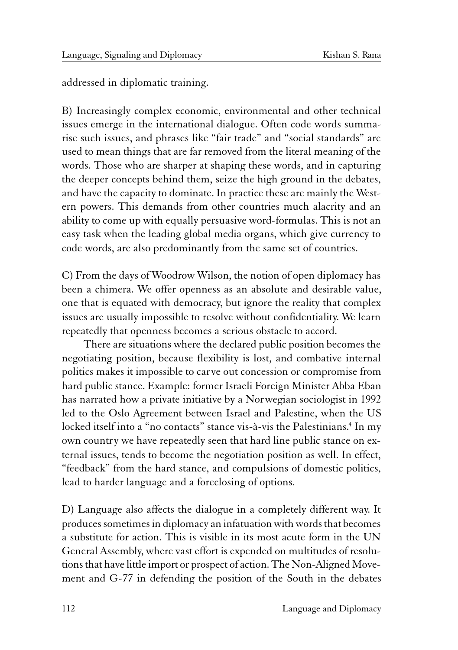addressed in diplomatic training.

B) Increasingly complex economic, environmental and other technical issues emerge in the international dialogue. Often code words summarise such issues, and phrases like "fair trade" and "social standards" are used to mean things that are far removed from the literal meaning of the words. Those who are sharper at shaping these words, and in capturing the deeper concepts behind them, seize the high ground in the debates, and have the capacity to dominate. In practice these are mainly the Western powers. This demands from other countries much alacrity and an ability to come up with equally persuasive word-formulas. This is not an easy task when the leading global media organs, which give currency to code words, are also predominantly from the same set of countries.

C) From the days of Woodrow Wilson, the notion of open diplomacy has been a chimera. We offer openness as an absolute and desirable value, one that is equated with democracy, but ignore the reality that complex issues are usually impossible to resolve without confidentiality. We learn repeatedly that openness becomes a serious obstacle to accord.

There are situations where the declared public position becomes the negotiating position, because flexibility is lost, and combative internal politics makes it impossible to carve out concession or compromise from hard public stance. Example: former Israeli Foreign Minister Abba Eban has narrated how a private initiative by a Norwegian sociologist in 1992 led to the Oslo Agreement between Israel and Palestine, when the US locked itself into a "no contacts" stance vis-à-vis the Palestinians.<sup>4</sup> In my own country we have repeatedly seen that hard line public stance on external issues, tends to become the negotiation position as well. In effect, "feedback" from the hard stance, and compulsions of domestic politics, lead to harder language and a foreclosing of options.

D) Language also affects the dialogue in a completely different way. It produces sometimes in diplomacy an infatuation with words that becomes a substitute for action. This is visible in its most acute form in the UN General Assembly, where vast effort is expended on multitudes of resolutions that have little import or prospect of action. The Non-Aligned Movement and G-77 in defending the position of the South in the debates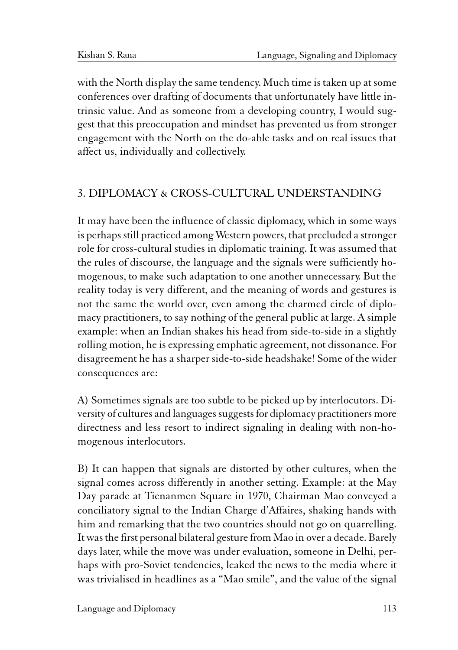with the North display the same tendency. Much time is taken up at some conferences over drafting of documents that unfortunately have little intrinsic value. And as someone from a developing country, I would suggest that this preoccupation and mindset has prevented us from stronger engagement with the North on the do-able tasks and on real issues that affect us, individually and collectively.

## 3. DIPLOMACY & CROSS-CULTURAL UNDERSTANDING

It may have been the influence of classic diplomacy, which in some ways is perhaps still practiced among Western powers, that precluded a stronger role for cross-cultural studies in diplomatic training. It was assumed that the rules of discourse, the language and the signals were sufficiently homogenous, to make such adaptation to one another unnecessary. But the reality today is very different, and the meaning of words and gestures is not the same the world over, even among the charmed circle of diplomacy practitioners, to say nothing of the general public at large. A simple example: when an Indian shakes his head from side-to-side in a slightly rolling motion, he is expressing emphatic agreement, not dissonance. For disagreement he has a sharper side-to-side headshake! Some of the wider consequences are:

A) Sometimes signals are too subtle to be picked up by interlocutors. Diversity of cultures and languages suggests for diplomacy practitioners more directness and less resort to indirect signaling in dealing with non-homogenous interlocutors.

B) It can happen that signals are distorted by other cultures, when the signal comes across differently in another setting. Example: at the May Day parade at Tienanmen Square in 1970, Chairman Mao conveyed a conciliatory signal to the Indian Charge d'Affaires, shaking hands with him and remarking that the two countries should not go on quarrelling. It was the first personal bilateral gesture from Mao in over a decade. Barely days later, while the move was under evaluation, someone in Delhi, perhaps with pro-Soviet tendencies, leaked the news to the media where it was trivialised in headlines as a "Mao smile", and the value of the signal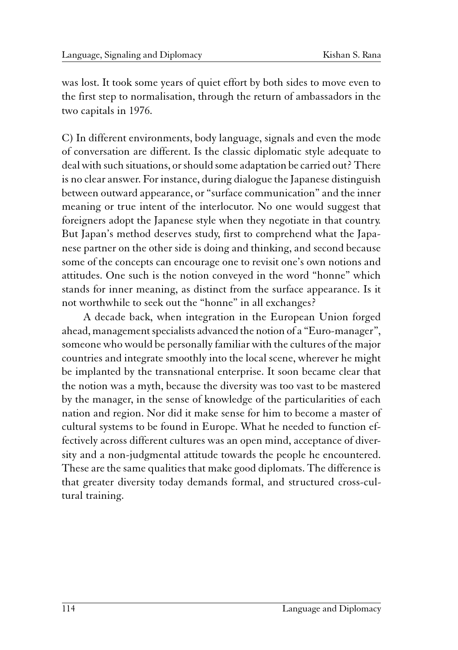was lost. It took some years of quiet effort by both sides to move even to the first step to normalisation, through the return of ambassadors in the two capitals in 1976.

C) In different environments, body language, signals and even the mode of conversation are different. Is the classic diplomatic style adequate to deal with such situations, or should some adaptation be carried out? There is no clear answer. For instance, during dialogue the Japanese distinguish between outward appearance, or "surface communication" and the inner meaning or true intent of the interlocutor. No one would suggest that foreigners adopt the Japanese style when they negotiate in that country. But Japan's method deserves study, first to comprehend what the Japanese partner on the other side is doing and thinking, and second because some of the concepts can encourage one to revisit one's own notions and attitudes. One such is the notion conveyed in the word "honne" which stands for inner meaning, as distinct from the surface appearance. Is it not worthwhile to seek out the "honne" in all exchanges?

A decade back, when integration in the European Union forged ahead, management specialists advanced the notion of a "Euro-manager", someone who would be personally familiar with the cultures of the major countries and integrate smoothly into the local scene, wherever he might be implanted by the transnational enterprise. It soon became clear that the notion was a myth, because the diversity was too vast to be mastered by the manager, in the sense of knowledge of the particularities of each nation and region. Nor did it make sense for him to become a master of cultural systems to be found in Europe. What he needed to function effectively across different cultures was an open mind, acceptance of diversity and a non-judgmental attitude towards the people he encountered. These are the same qualities that make good diplomats. The difference is that greater diversity today demands formal, and structured cross-cultural training.